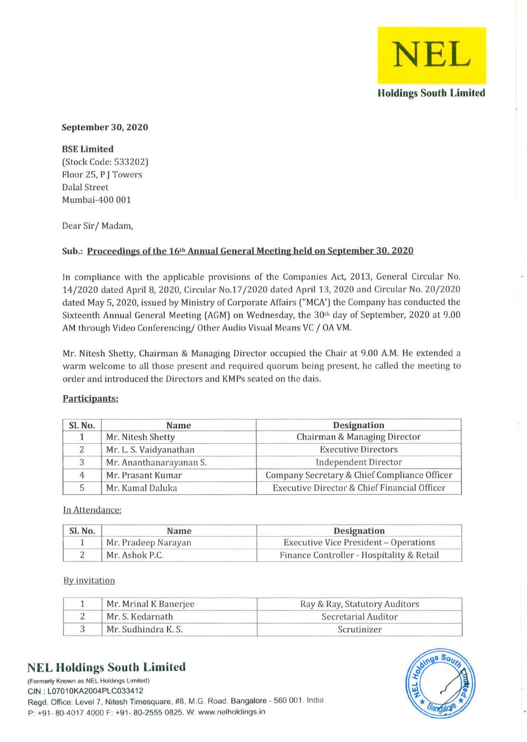

#### September 30, 2020

BSE Limited (Stock Code: 533202) Floor 25, P J Towers Dalal Street Mumbai-400 001

Dear Sir/ Madam,

## Sub.: Proceedings of the 16<sup>th</sup> Annual General Meeting held on September 30, 2020

In compliance with the applicable provisions of the Companies Act, 2013, General Circular No. 14/2020 dated April 8, 2020, Circular No.17/2020 dated April 13,2020 and Circular No. 20/2020 dated May 5, 2020, issued by Ministry of Corporate Affairs ("MCA') the Company has conducted the Sixteenth Annual General Meeting (AGM) on Wednesday, the 30th day of September, 2020 at 9.00 AM through Video Conferencing/ Other Audio Visual Means VC / OA VM.

Mr. Nitesh Shetty, Chairman & Managing Director occupied the Chair at 9.00 A.M. He extended a warm welcome to all those present and required quorum being present, he called the meeting to order and introduced the Directors and KMPs seated on the dais.

### Participants;

| Sl. No.<br>Name<br>Mr. Nitesh Shetty |                         | <b>Designation</b>                           |  |
|--------------------------------------|-------------------------|----------------------------------------------|--|
|                                      |                         | Chairman & Managing Director                 |  |
|                                      | Mr. L. S. Vaidyanathan  | <b>Executive Directors</b>                   |  |
| 3                                    | Mr. Ananthanarayanan S. | <b>Independent Director</b>                  |  |
| 4                                    | Mr. Prasant Kumar       | Company Secretary & Chief Compliance Officer |  |
| 5                                    | Mr. Kamal Daluka        | Executive Director & Chief Financial Officer |  |

In Attendance:

| Sl. No.<br>Name<br>Mr. Pradeep Narayan |  | <b>Designation</b><br><b>Executive Vice President - Operations</b> |  |
|----------------------------------------|--|--------------------------------------------------------------------|--|
|                                        |  |                                                                    |  |

#### By invitation

| Mr. Mrinal K Banerjee | Ray & Ray, Statutory Auditors |
|-----------------------|-------------------------------|
| Mr. S. Kedarnath      | Secretarial Auditor           |
| Mr. Sudhindra K. S.   | Scrutinizer                   |

# **NEL Holdings South Limited**



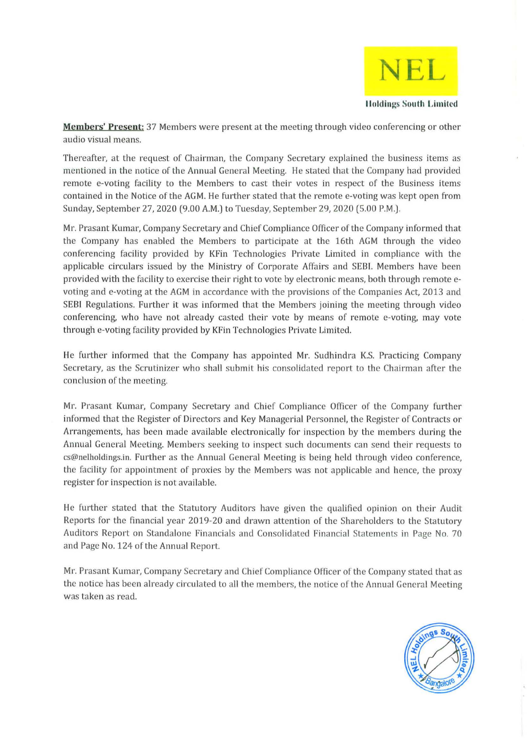

**Members' Present:** 37 Members were present at the meeting through video conferencing or other audio visual means.

Thereafter, at the request of Chairman, the Company Secretary explained the business items as mentioned in the notice of the Annual General Meeting. He stated that the Company had provided remote e-voting facility to the Members to cast their votes in respect of the Business items contained in the Notice of the AGM. He further stated that the remote e-voting was kept open from Sunday, September 27, 2020 (9.00 A.M.) to Tuesday, September 29, 2020 (5.00 P.M.).

Mr. Prasant Kumar, Company Secretary and Chief Compliance Officer of the Company informed that the Company has enabled the Members to participate at the 16th AGM through the video conferencing facility provided by KFin Technologies Private Limited in compliance with the applicable circulars issued by the Ministry of Corporate Affairs and SEBI. Members have been provided with the facility to exercise their right to vote by electronic means, both through remote evoting and e-voting at the AGM in accordance with the provisions of the Companies Act, 2013 and SEBI Regulations. Further it was informed that the Members joining the meeting through video conferencing, who have not already casted their vote by means of remote e-voting, may vote through e-voting facility provided by KFin Technologies Private Limited.

He further informed that the Company has appointed Mr. Sudhindra K.S. Practicing Company Secretary, as the Scrutinizer who shall submit his consolidated report to the Chairman after the conclusion of the meeting.

Mr. Prasant Kumar, Company Secretary and Chief Compliance Officer of the Company further informed that the Register of Directors and Key Managerial Personnel, the Register of Contracts or Arrangements, has been made available electronically for inspection by the members during the Annual General Meeting. Members seeking to inspect such documents can send their requests to cs@nelholdings.in. Further as the Annual General Meeting is being held through video conference, the facility for appointment of proxies by the Members was not applicable and hence, the proxy register for inspection is not available.

He further stated that the Statutory Auditors have given the qualified opinion on their Audit Reports for the financial year 2019-20 and drawn attention of the Shareholders to the Statutory Auditors Report on Standalone Financials and Consolidated Financial Statements in Page No. 70 and Page No. 124 of the Annual Report.

Mr. Prasant Kumar, Company Secretary and Chief Compliance Officer of the Company stated that as the notice has been already circulated to all the members, the notice of the Annual General Meeting was taken as read.

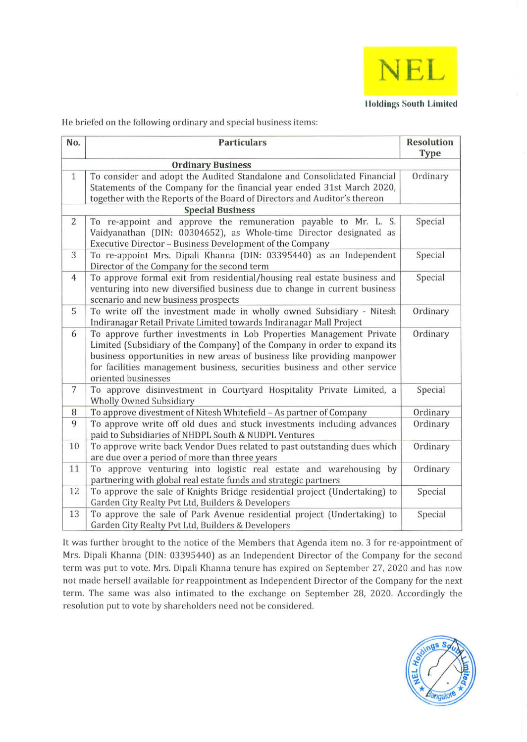

He briefed on the following ordinary and special business items:

| No.            | <b>Particulars</b>                                                                                                                                                                                                                                                                                                              | <b>Resolution</b><br><b>Type</b> |  |  |  |
|----------------|---------------------------------------------------------------------------------------------------------------------------------------------------------------------------------------------------------------------------------------------------------------------------------------------------------------------------------|----------------------------------|--|--|--|
|                | <b>Ordinary Business</b>                                                                                                                                                                                                                                                                                                        |                                  |  |  |  |
| $\mathbf{1}$   | To consider and adopt the Audited Standalone and Consolidated Financial<br>Statements of the Company for the financial year ended 31st March 2020,<br>together with the Reports of the Board of Directors and Auditor's thereon                                                                                                 | Ordinary                         |  |  |  |
|                | <b>Special Business</b>                                                                                                                                                                                                                                                                                                         |                                  |  |  |  |
| $\overline{2}$ | To re-appoint and approve the remuneration payable to Mr. L. S.<br>Vaidyanathan (DIN: 00304652), as Whole-time Director designated as<br>Executive Director - Business Development of the Company                                                                                                                               | Special                          |  |  |  |
| 3              | To re-appoint Mrs. Dipali Khanna (DIN: 03395440) as an Independent<br>Director of the Company for the second term                                                                                                                                                                                                               | Special                          |  |  |  |
| $\overline{4}$ | To approve formal exit from residential/housing real estate business and<br>venturing into new diversified business due to change in current business<br>scenario and new business prospects                                                                                                                                    | Special                          |  |  |  |
| 5              | To write off the investment made in wholly owned Subsidiary - Nitesh<br>Indiranagar Retail Private Limited towards Indiranagar Mall Project                                                                                                                                                                                     | Ordinary                         |  |  |  |
| 6              | To approve further investments in Lob Properties Management Private<br>Limited (Subsidiary of the Company) of the Company in order to expand its<br>business opportunities in new areas of business like providing manpower<br>for facilities management business, securities business and other service<br>oriented businesses | Ordinary                         |  |  |  |
| 7              | To approve disinvestment in Courtyard Hospitality Private Limited, a<br><b>Wholly Owned Subsidiary</b>                                                                                                                                                                                                                          | Special                          |  |  |  |
| 8              | To approve divestment of Nitesh Whitefield - As partner of Company                                                                                                                                                                                                                                                              | Ordinary                         |  |  |  |
| 9              | To approve write off old dues and stuck investments including advances<br>paid to Subsidiaries of NHDPL South & NUDPL Ventures                                                                                                                                                                                                  | Ordinary                         |  |  |  |
| 10             | To approve write back Vendor Dues related to past outstanding dues which<br>are due over a period of more than three years                                                                                                                                                                                                      | Ordinary                         |  |  |  |
| 11             | To approve venturing into logistic real estate and warehousing by<br>partnering with global real estate funds and strategic partners                                                                                                                                                                                            | Ordinary                         |  |  |  |
| 12             | To approve the sale of Knights Bridge residential project (Undertaking) to<br>Garden City Realty Pvt Ltd, Builders & Developers                                                                                                                                                                                                 | Special                          |  |  |  |
| 13             | To approve the sale of Park Avenue residential project (Undertaking) to<br>Garden City Realty Pvt Ltd, Builders & Developers                                                                                                                                                                                                    | Special                          |  |  |  |

It was further brought to the notice of the Members that Agenda item no. 3 for re-appointment of Mrs. Dipali Khanna (DIN: 03395440) as an Independent Director of the Company for the second term was put to vote. Mrs. Dipali Khanna tenure has expired on September 27, 2020 and has now not made herself available for reappointment as Independent Director of the Company for the next term. The same was also intimated to the exchange on September 28, 2020. Accordingly the resolution put to vote by shareholders need not be considered.